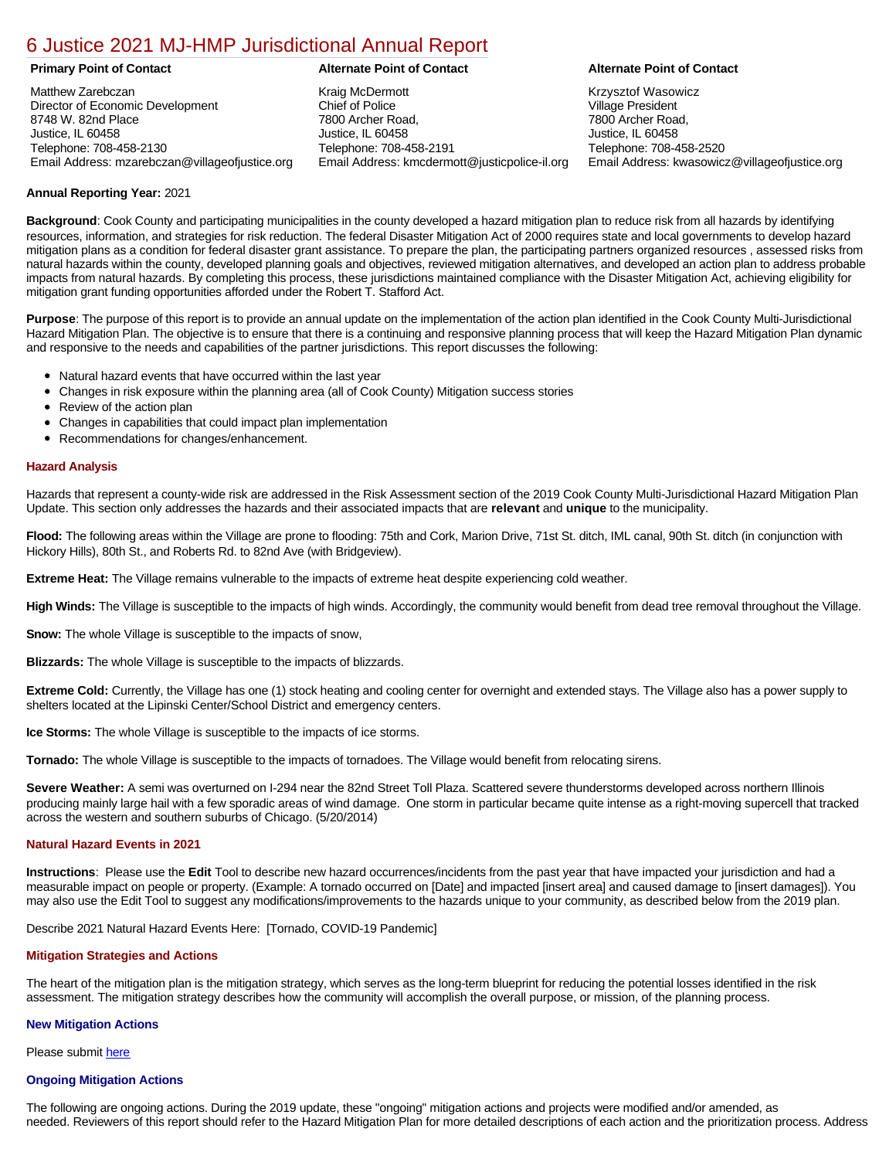# [6 Justice 2021 MJ-HMP Jurisdictional Annual Report](https://justice.isc-cemp.com/Cemp/Details?id=8322846)

Matthew Zarebczan Director of Economic Development 8748 W. 82nd Place Justice, IL 60458 Telephone: 708-458-2130 Email Address: mzarebczan@villageofjustice.org

Kraig McDermott Chief of Police 7800 Archer Road, Justice, IL 60458 Telephone: 708-458-2191 Email Address: kmcdermott@justicpolice-il.org

### **Primary Point of Contact Alternate Point of Contact Alternate Point of Contact**

Krzysztof Wasowicz Village President 7800 Archer Road, Justice, IL 60458 Telephone: 708-458-2520 Email Address: kwasowicz@villageofjustice.org

## **Annual Reporting Year:** 2021

**Background**: Cook County and participating municipalities in the county developed a hazard mitigation plan to reduce risk from all hazards by identifying resources, information, and strategies for risk reduction. The federal Disaster Mitigation Act of 2000 requires state and local governments to develop hazard mitigation plans as a condition for federal disaster grant assistance. To prepare the plan, the participating partners organized resources , assessed risks from natural hazards within the county, developed planning goals and objectives, reviewed mitigation alternatives, and developed an action plan to address probable impacts from natural hazards. By completing this process, these jurisdictions maintained compliance with the Disaster Mitigation Act, achieving eligibility for mitigation grant funding opportunities afforded under the Robert T. Stafford Act.

**Purpose**: The purpose of this report is to provide an annual update on the implementation of the action plan identified in the Cook County Multi-Jurisdictional Hazard Mitigation Plan. The objective is to ensure that there is a continuing and responsive planning process that will keep the Hazard Mitigation Plan dynamic and responsive to the needs and capabilities of the partner jurisdictions. This report discusses the following:

- Natural hazard events that have occurred within the last year
- Changes in risk exposure within the planning area (all of Cook County) Mitigation success stories
- Review of the action plan
- Changes in capabilities that could impact plan implementation
- Recommendations for changes/enhancement.

### **Hazard Analysis**

Hazards that represent a county-wide risk are addressed in the Risk Assessment section of the 2019 Cook County Multi-Jurisdictional Hazard Mitigation Plan Update. This section only addresses the hazards and their associated impacts that are **relevant** and **unique** to the municipality.

**Flood:** The following areas within the Village are prone to flooding: 75th and Cork, Marion Drive, 71st St. ditch, IML canal, 90th St. ditch (in conjunction with Hickory Hills), 80th St., and Roberts Rd. to 82nd Ave (with Bridgeview).

**Extreme Heat:** The Village remains vulnerable to the impacts of extreme heat despite experiencing cold weather.

**High Winds:** The Village is susceptible to the impacts of high winds. Accordingly, the community would benefit from dead tree removal throughout the Village.

**Snow:** The whole Village is susceptible to the impacts of snow,

**Blizzards:** The whole Village is susceptible to the impacts of blizzards.

**Extreme Cold:** Currently, the Village has one (1) stock heating and cooling center for overnight and extended stays. The Village also has a power supply to shelters located at the Lipinski Center/School District and emergency centers.

**Ice Storms:** The whole Village is susceptible to the impacts of ice storms.

**Tornado:** The whole Village is susceptible to the impacts of tornadoes. The Village would benefit from relocating sirens.

**Severe Weather:** A semi was overturned on I-294 near the 82nd Street Toll Plaza. Scattered severe thunderstorms developed across northern Illinois producing mainly large hail with a few sporadic areas of wind damage. One storm in particular became quite intense as a right-moving supercell that tracked across the western and southern suburbs of Chicago. (5/20/2014)

#### **Natural Hazard Events in 2021**

**Instructions**: Please use the **Edit** Tool to describe new hazard occurrences/incidents from the past year that have impacted your jurisdiction and had a measurable impact on people or property. (Example: A tornado occurred on [Date] and impacted [insert area] and caused damage to [insert damages]). You may also use the Edit Tool to suggest any modifications/improvements to the hazards unique to your community, as described below from the 2019 plan.

Describe 2021 Natural Hazard Events Here: [Tornado, COVID-19 Pandemic]

# **Mitigation Strategies and Actions**

The heart of the mitigation plan is the mitigation strategy, which serves as the long-term blueprint for reducing the potential losses identified in the risk assessment. The mitigation strategy describes how the community will accomplish the overall purpose, or mission, of the planning process.

#### **New Mitigation Actions**

Please submit [here](https://integratedsolutions.wufoo.com/forms/mg21jvf0jn639o/)

# **Ongoing Mitigation Actions**

The following are ongoing actions. During the 2019 update, these "ongoing" mitigation actions and projects were modified and/or amended, as needed. Reviewers of this report should refer to the Hazard Mitigation Plan for more detailed descriptions of each action and the prioritization process. Address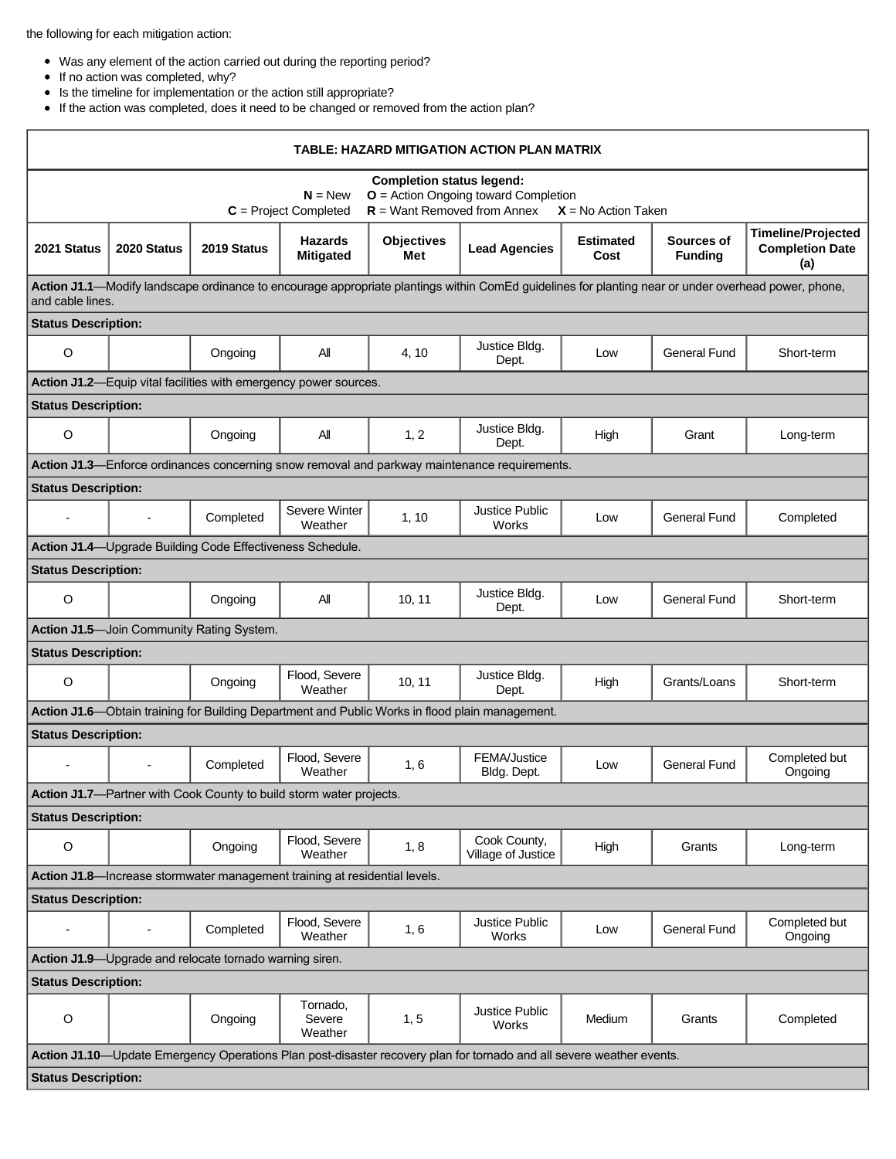the following for each mitigation action:

- Was any element of the action carried out during the reporting period?
- $\bullet$  If no action was completed, why?
- Is the timeline for implementation or the action still appropriate?
- If the action was completed, does it need to be changed or removed from the action plan?

| TABLE: HAZARD MITIGATION ACTION PLAN MATRIX                                                                                                                                  |                          |                                                                             |                                    |                          |                                                                                                 |                          |                              |                                                            |  |  |  |
|------------------------------------------------------------------------------------------------------------------------------------------------------------------------------|--------------------------|-----------------------------------------------------------------------------|------------------------------------|--------------------------|-------------------------------------------------------------------------------------------------|--------------------------|------------------------------|------------------------------------------------------------|--|--|--|
| <b>Completion status legend:</b><br>$O =$ Action Ongoing toward Completion<br>$N = New$<br>$R =$ Want Removed from Annex<br>$C = Project Completed$<br>$X = No$ Action Taken |                          |                                                                             |                                    |                          |                                                                                                 |                          |                              |                                                            |  |  |  |
| 2021 Status                                                                                                                                                                  | 2020 Status              | 2019 Status                                                                 | <b>Hazards</b><br><b>Mitigated</b> | <b>Objectives</b><br>Met | <b>Lead Agencies</b>                                                                            | <b>Estimated</b><br>Cost | Sources of<br><b>Funding</b> | <b>Timeline/Projected</b><br><b>Completion Date</b><br>(a) |  |  |  |
| Action J1.1—Modify landscape ordinance to encourage appropriate plantings within ComEd guidelines for planting near or under overhead power, phone,<br>and cable lines.      |                          |                                                                             |                                    |                          |                                                                                                 |                          |                              |                                                            |  |  |  |
| <b>Status Description:</b>                                                                                                                                                   |                          |                                                                             |                                    |                          |                                                                                                 |                          |                              |                                                            |  |  |  |
| $\circ$                                                                                                                                                                      |                          | Ongoing                                                                     | All                                | 4, 10                    | Justice Bldg.<br>Dept.                                                                          | Low                      | <b>General Fund</b>          | Short-term                                                 |  |  |  |
| Action J1.2-Equip vital facilities with emergency power sources.                                                                                                             |                          |                                                                             |                                    |                          |                                                                                                 |                          |                              |                                                            |  |  |  |
| <b>Status Description:</b>                                                                                                                                                   |                          |                                                                             |                                    |                          |                                                                                                 |                          |                              |                                                            |  |  |  |
| O                                                                                                                                                                            |                          | Ongoing                                                                     | All                                | 1, 2                     | Justice Bldg.<br>Dept.                                                                          | High                     | Grant                        | Long-term                                                  |  |  |  |
| Action J1.3—Enforce ordinances concerning snow removal and parkway maintenance requirements.                                                                                 |                          |                                                                             |                                    |                          |                                                                                                 |                          |                              |                                                            |  |  |  |
| <b>Status Description:</b>                                                                                                                                                   |                          |                                                                             |                                    |                          |                                                                                                 |                          |                              |                                                            |  |  |  |
|                                                                                                                                                                              | $\blacksquare$           | Completed                                                                   | Severe Winter<br>Weather           | 1, 10                    | Justice Public<br>Works                                                                         | Low                      | <b>General Fund</b>          | Completed                                                  |  |  |  |
| Action J1.4-Upgrade Building Code Effectiveness Schedule.                                                                                                                    |                          |                                                                             |                                    |                          |                                                                                                 |                          |                              |                                                            |  |  |  |
| <b>Status Description:</b>                                                                                                                                                   |                          |                                                                             |                                    |                          |                                                                                                 |                          |                              |                                                            |  |  |  |
| $\circ$                                                                                                                                                                      |                          | Ongoing                                                                     | All                                | 10, 11                   | Justice Bldg.<br>Dept.                                                                          | Low                      | <b>General Fund</b>          | Short-term                                                 |  |  |  |
|                                                                                                                                                                              |                          | Action J1.5-Join Community Rating System.                                   |                                    |                          |                                                                                                 |                          |                              |                                                            |  |  |  |
| <b>Status Description:</b>                                                                                                                                                   |                          |                                                                             |                                    |                          |                                                                                                 |                          |                              |                                                            |  |  |  |
| O                                                                                                                                                                            |                          | Ongoing                                                                     | Flood, Severe<br>Weather           | 10, 11                   | Justice Bldg.<br>Dept.                                                                          | High                     | Grants/Loans                 | Short-term                                                 |  |  |  |
|                                                                                                                                                                              |                          |                                                                             |                                    |                          | Action J1.6—Obtain training for Building Department and Public Works in flood plain management. |                          |                              |                                                            |  |  |  |
| <b>Status Description:</b>                                                                                                                                                   |                          |                                                                             |                                    |                          |                                                                                                 |                          |                              |                                                            |  |  |  |
|                                                                                                                                                                              |                          | Completed                                                                   | Flood, Severe<br>Weather           | 1, 6                     | FEMA/Justice<br>Bldg. Dept.                                                                     | Low                      | <b>General Fund</b>          | Completed but<br>Ongoing                                   |  |  |  |
|                                                                                                                                                                              |                          | <b>Action J1.7</b> —Partner with Cook County to build storm water projects. |                                    |                          |                                                                                                 |                          |                              |                                                            |  |  |  |
| <b>Status Description:</b>                                                                                                                                                   |                          |                                                                             |                                    |                          |                                                                                                 |                          |                              |                                                            |  |  |  |
| $\circ$                                                                                                                                                                      |                          | Ongoing                                                                     | Flood, Severe<br>Weather           | 1, 8                     | Cook County,<br>Village of Justice                                                              | High                     | Grants                       | Long-term                                                  |  |  |  |
|                                                                                                                                                                              |                          | Action J1.8-Increase stormwater management training at residential levels.  |                                    |                          |                                                                                                 |                          |                              |                                                            |  |  |  |
| <b>Status Description:</b>                                                                                                                                                   |                          |                                                                             |                                    |                          |                                                                                                 |                          |                              |                                                            |  |  |  |
|                                                                                                                                                                              | $\overline{\phantom{a}}$ | Completed                                                                   | Flood, Severe<br>Weather           | 1, 6                     | Justice Public<br>Works                                                                         | Low                      | <b>General Fund</b>          | Completed but<br>Ongoing                                   |  |  |  |
|                                                                                                                                                                              |                          | Action J1.9-Upgrade and relocate tornado warning siren.                     |                                    |                          |                                                                                                 |                          |                              |                                                            |  |  |  |
| <b>Status Description:</b>                                                                                                                                                   |                          |                                                                             |                                    |                          |                                                                                                 |                          |                              |                                                            |  |  |  |
| $\circ$                                                                                                                                                                      |                          | Ongoing                                                                     | Tornado,<br>Severe<br>Weather      | 1, 5                     | Justice Public<br>Works                                                                         | Medium                   | Grants                       | Completed                                                  |  |  |  |
| Action J1.10-Update Emergency Operations Plan post-disaster recovery plan for tornado and all severe weather events.                                                         |                          |                                                                             |                                    |                          |                                                                                                 |                          |                              |                                                            |  |  |  |
| <b>Status Description:</b>                                                                                                                                                   |                          |                                                                             |                                    |                          |                                                                                                 |                          |                              |                                                            |  |  |  |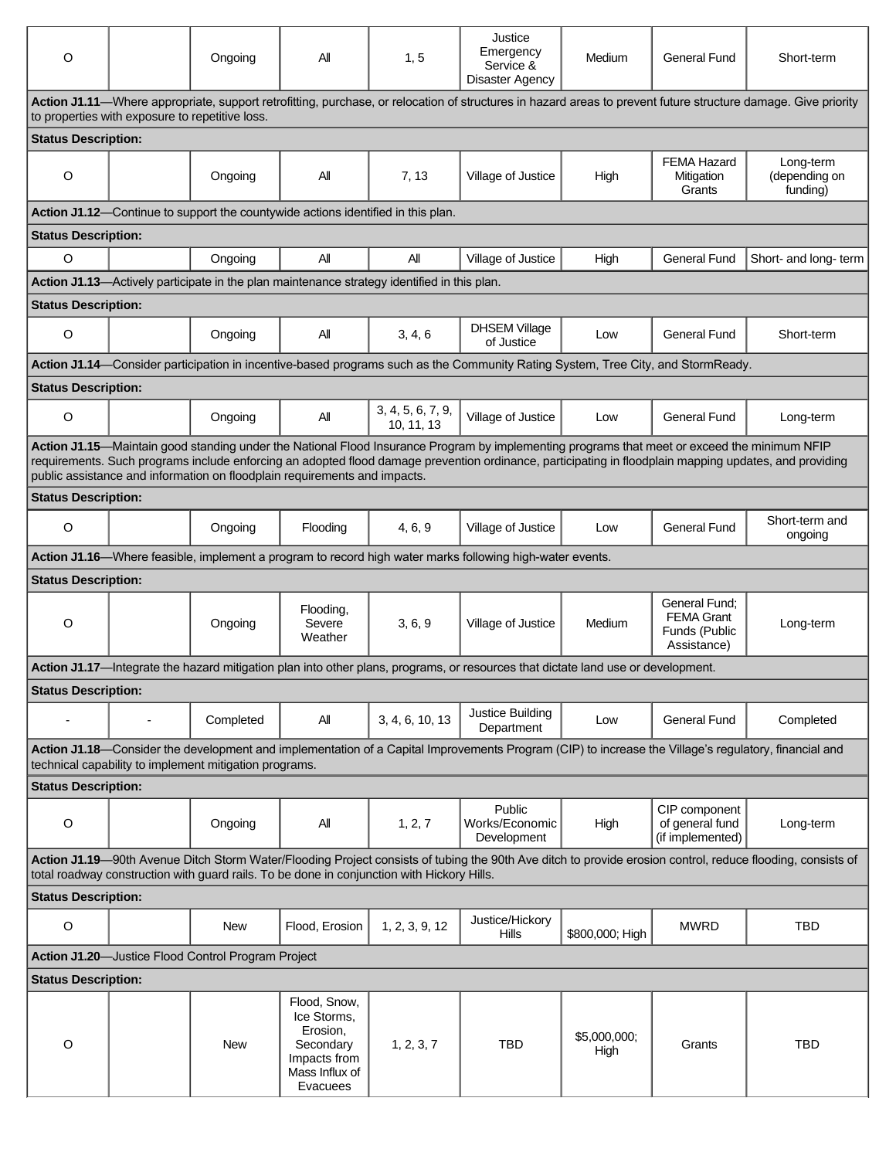| O                                                                                                                                                                                                                                                                                                                                                                                   |  | Ongoing                                                | All                                                                                                | 1, 5                                                                                        | Justice<br>Emergency<br>Service &<br><b>Disaster Agency</b>                                                                                          | Medium               | General Fund                                                       | Short-term                             |  |  |  |  |
|-------------------------------------------------------------------------------------------------------------------------------------------------------------------------------------------------------------------------------------------------------------------------------------------------------------------------------------------------------------------------------------|--|--------------------------------------------------------|----------------------------------------------------------------------------------------------------|---------------------------------------------------------------------------------------------|------------------------------------------------------------------------------------------------------------------------------------------------------|----------------------|--------------------------------------------------------------------|----------------------------------------|--|--|--|--|
| Action J1.11-Where appropriate, support retrofitting, purchase, or relocation of structures in hazard areas to prevent future structure damage. Give priority<br>to properties with exposure to repetitive loss.                                                                                                                                                                    |  |                                                        |                                                                                                    |                                                                                             |                                                                                                                                                      |                      |                                                                    |                                        |  |  |  |  |
| <b>Status Description:</b>                                                                                                                                                                                                                                                                                                                                                          |  |                                                        |                                                                                                    |                                                                                             |                                                                                                                                                      |                      |                                                                    |                                        |  |  |  |  |
| O                                                                                                                                                                                                                                                                                                                                                                                   |  | Ongoing                                                | ΑIΙ                                                                                                | 7, 13                                                                                       | Village of Justice                                                                                                                                   | High                 | <b>FEMA Hazard</b><br>Mitigation<br>Grants                         | Long-term<br>(depending on<br>funding) |  |  |  |  |
| Action J1.12-Continue to support the countywide actions identified in this plan.                                                                                                                                                                                                                                                                                                    |  |                                                        |                                                                                                    |                                                                                             |                                                                                                                                                      |                      |                                                                    |                                        |  |  |  |  |
| <b>Status Description:</b>                                                                                                                                                                                                                                                                                                                                                          |  |                                                        |                                                                                                    |                                                                                             |                                                                                                                                                      |                      |                                                                    |                                        |  |  |  |  |
| $\circ$                                                                                                                                                                                                                                                                                                                                                                             |  | Ongoing                                                | All                                                                                                | Αll                                                                                         | Village of Justice                                                                                                                                   | High                 | General Fund                                                       | Short- and long- term                  |  |  |  |  |
|                                                                                                                                                                                                                                                                                                                                                                                     |  |                                                        |                                                                                                    | Action J1.13—Actively participate in the plan maintenance strategy identified in this plan. |                                                                                                                                                      |                      |                                                                    |                                        |  |  |  |  |
| <b>Status Description:</b>                                                                                                                                                                                                                                                                                                                                                          |  |                                                        |                                                                                                    |                                                                                             |                                                                                                                                                      |                      |                                                                    |                                        |  |  |  |  |
| O                                                                                                                                                                                                                                                                                                                                                                                   |  | Ongoing                                                | All                                                                                                | 3, 4, 6                                                                                     | <b>DHSEM Village</b><br>of Justice                                                                                                                   | Low                  | <b>General Fund</b>                                                | Short-term                             |  |  |  |  |
|                                                                                                                                                                                                                                                                                                                                                                                     |  |                                                        |                                                                                                    |                                                                                             | Action J1.14—Consider participation in incentive-based programs such as the Community Rating System, Tree City, and StormReady.                      |                      |                                                                    |                                        |  |  |  |  |
| <b>Status Description:</b>                                                                                                                                                                                                                                                                                                                                                          |  |                                                        |                                                                                                    |                                                                                             |                                                                                                                                                      |                      |                                                                    |                                        |  |  |  |  |
| $\circ$                                                                                                                                                                                                                                                                                                                                                                             |  | Ongoing                                                | All                                                                                                | 3, 4, 5, 6, 7, 9,<br>10, 11, 13                                                             | Village of Justice                                                                                                                                   | Low                  | General Fund                                                       | Long-term                              |  |  |  |  |
| Action J1.15—Maintain good standing under the National Flood Insurance Program by implementing programs that meet or exceed the minimum NFIP<br>requirements. Such programs include enforcing an adopted flood damage prevention ordinance, participating in floodplain mapping updates, and providing<br>public assistance and information on floodplain requirements and impacts. |  |                                                        |                                                                                                    |                                                                                             |                                                                                                                                                      |                      |                                                                    |                                        |  |  |  |  |
| <b>Status Description:</b>                                                                                                                                                                                                                                                                                                                                                          |  |                                                        |                                                                                                    |                                                                                             |                                                                                                                                                      |                      |                                                                    |                                        |  |  |  |  |
| O                                                                                                                                                                                                                                                                                                                                                                                   |  | Ongoing                                                | Flooding                                                                                           | 4, 6, 9                                                                                     | Village of Justice                                                                                                                                   | Low                  | General Fund                                                       | Short-term and<br>ongoing              |  |  |  |  |
|                                                                                                                                                                                                                                                                                                                                                                                     |  |                                                        |                                                                                                    |                                                                                             | Action J1.16—Where feasible, implement a program to record high water marks following high-water events.                                             |                      |                                                                    |                                        |  |  |  |  |
| <b>Status Description:</b>                                                                                                                                                                                                                                                                                                                                                          |  |                                                        |                                                                                                    |                                                                                             |                                                                                                                                                      |                      |                                                                    |                                        |  |  |  |  |
| O                                                                                                                                                                                                                                                                                                                                                                                   |  | Ongoing                                                | Flooding,<br>Severe<br>Weather                                                                     | 3, 6, 9                                                                                     | Village of Justice                                                                                                                                   | Medium               | General Fund:<br><b>FEMA Grant</b><br>Funds (Public<br>Assistance) | Long-term                              |  |  |  |  |
|                                                                                                                                                                                                                                                                                                                                                                                     |  |                                                        |                                                                                                    |                                                                                             | Action J1.17-Integrate the hazard mitigation plan into other plans, programs, or resources that dictate land use or development.                     |                      |                                                                    |                                        |  |  |  |  |
| <b>Status Description:</b>                                                                                                                                                                                                                                                                                                                                                          |  |                                                        |                                                                                                    |                                                                                             |                                                                                                                                                      |                      |                                                                    |                                        |  |  |  |  |
|                                                                                                                                                                                                                                                                                                                                                                                     |  | Completed                                              | All                                                                                                | 3, 4, 6, 10, 13                                                                             | Justice Building<br>Department                                                                                                                       | Low                  | General Fund                                                       | Completed                              |  |  |  |  |
|                                                                                                                                                                                                                                                                                                                                                                                     |  | technical capability to implement mitigation programs. |                                                                                                    |                                                                                             | Action J1.18—Consider the development and implementation of a Capital Improvements Program (CIP) to increase the Village's regulatory, financial and |                      |                                                                    |                                        |  |  |  |  |
| <b>Status Description:</b>                                                                                                                                                                                                                                                                                                                                                          |  |                                                        |                                                                                                    |                                                                                             |                                                                                                                                                      |                      |                                                                    |                                        |  |  |  |  |
| $\mathsf O$                                                                                                                                                                                                                                                                                                                                                                         |  | Ongoing                                                | All                                                                                                | 1, 2, 7                                                                                     | Public<br>Works/Economic<br>Development                                                                                                              | High                 | CIP component<br>of general fund<br>(if implemented)               | Long-term                              |  |  |  |  |
| Action J1.19-90th Avenue Ditch Storm Water/Flooding Project consists of tubing the 90th Ave ditch to provide erosion control, reduce flooding, consists of<br>total roadway construction with guard rails. To be done in conjunction with Hickory Hills.                                                                                                                            |  |                                                        |                                                                                                    |                                                                                             |                                                                                                                                                      |                      |                                                                    |                                        |  |  |  |  |
| <b>Status Description:</b>                                                                                                                                                                                                                                                                                                                                                          |  |                                                        |                                                                                                    |                                                                                             |                                                                                                                                                      |                      |                                                                    |                                        |  |  |  |  |
| $\mathsf O$                                                                                                                                                                                                                                                                                                                                                                         |  | <b>New</b>                                             | Flood, Erosion                                                                                     | 1, 2, 3, 9, 12                                                                              | Justice/Hickory<br>Hills                                                                                                                             | \$800,000; High      | <b>MWRD</b>                                                        | <b>TBD</b>                             |  |  |  |  |
| Action J1.20-Justice Flood Control Program Project                                                                                                                                                                                                                                                                                                                                  |  |                                                        |                                                                                                    |                                                                                             |                                                                                                                                                      |                      |                                                                    |                                        |  |  |  |  |
| <b>Status Description:</b>                                                                                                                                                                                                                                                                                                                                                          |  |                                                        |                                                                                                    |                                                                                             |                                                                                                                                                      |                      |                                                                    |                                        |  |  |  |  |
| O                                                                                                                                                                                                                                                                                                                                                                                   |  | New                                                    | Flood, Snow,<br>Ice Storms,<br>Erosion,<br>Secondary<br>Impacts from<br>Mass Influx of<br>Evacuees | 1, 2, 3, 7                                                                                  | <b>TBD</b>                                                                                                                                           | \$5,000,000;<br>High | Grants                                                             | <b>TBD</b>                             |  |  |  |  |